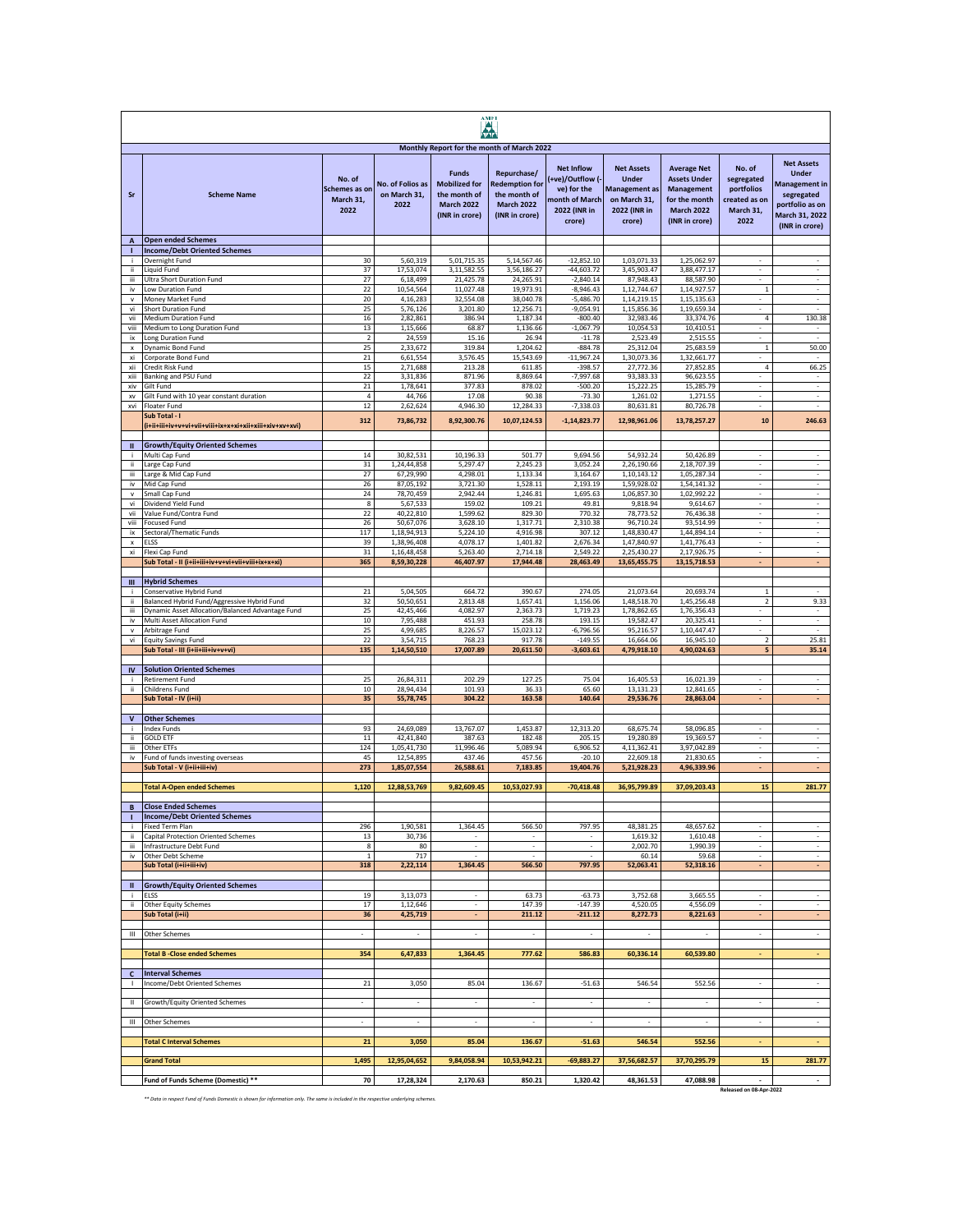| <b>AMFI</b>                     |                                                                                                 |                                    |                                          |                                                                             |                                                                              |                                                         |                                                         |                                                                    |                                                      |                                                                                           |
|---------------------------------|-------------------------------------------------------------------------------------------------|------------------------------------|------------------------------------------|-----------------------------------------------------------------------------|------------------------------------------------------------------------------|---------------------------------------------------------|---------------------------------------------------------|--------------------------------------------------------------------|------------------------------------------------------|-------------------------------------------------------------------------------------------|
|                                 |                                                                                                 | No. of                             |                                          | <b>Funds</b>                                                                | Monthly Report for the month of March 2022<br>Repurchase/                    | <b>Net Inflow</b><br>+ve)/Outflow (-                    | <b>Net Assets</b><br><b>Under</b>                       | <b>Average Net</b><br><b>Assets Under</b>                          | No. of<br>segregated                                 | <b>Net Assets</b><br><b>Under</b>                                                         |
| Sr                              | <b>Scheme Name</b>                                                                              | Schemes as on<br>March 31.<br>2022 | No. of Folios as<br>on March 31,<br>2022 | <b>Mobilized for</b><br>the month of<br><b>March 2022</b><br>(INR in crore) | <b>Redemption for</b><br>the month of<br><b>March 2022</b><br>(INR in crore) | ve) for the<br>nonth of March<br>2022 (INR in<br>crore) | Management as<br>on March 31,<br>2022 (INR in<br>crore) | Management<br>for the month<br><b>March 2022</b><br>(INR in crore) | portfolios<br>created as on<br>March 31,<br>2022     | <b>Management in</b><br>segregated<br>portfolio as on<br>March 31, 2022<br>(INR in crore) |
| $\overline{A}$<br>т             | <b>Open ended Schemes</b><br><b>Income/Debt Oriented Schemes</b>                                |                                    |                                          |                                                                             |                                                                              |                                                         |                                                         |                                                                    |                                                      |                                                                                           |
| j.                              | Overnight Fund                                                                                  | 30                                 | 5,60,319                                 | 5,01,715.35                                                                 | 5,14,567.46                                                                  | $-12.852.10$                                            | 1,03,071.33                                             | 1,25,062.97                                                        |                                                      |                                                                                           |
| ii.<br>iii                      | <b>Liquid Fund</b><br>Ultra Short Duration Fund                                                 | 37<br>27                           | 17,53,074<br>6,18,499                    | 3,11,582.55<br>21,425.78                                                    | 3,56,186.27<br>24,265.91                                                     | $-44,603.72$<br>$-2,840.14$                             | 3,45,903.47<br>87,948.43                                | 3,88,477.17<br>88,587.90                                           | $\overline{\phantom{a}}$                             | $\sim$                                                                                    |
| iv                              | Low Duration Fund                                                                               | 22                                 | 10,54,564                                | 11,027.48                                                                   | 19,973.91                                                                    | $-8,946.43$                                             | 1,12,744.67                                             | 1,14,927.57                                                        | $\mathbf{1}$                                         | $\overline{\phantom{a}}$                                                                  |
| v<br>vi                         | Money Market Fund<br><b>Short Duration Fund</b>                                                 | 20<br>25                           | 4,16,283<br>5,76,126                     | 32,554.08<br>3,201.80                                                       | 38,040.78<br>12,256.71                                                       | $-5,486.70$<br>$-9,054.91$                              | 1,14,219.15<br>1,15,856.36                              | 1,15,135.63<br>1,19,659.34                                         | $\overline{\phantom{a}}$<br>$\sim$                   | $\overline{\phantom{a}}$<br>ä,                                                            |
| vii                             | Medium Duration Fund                                                                            | 16                                 | 2,82,861                                 | 386.94                                                                      | 1,187.34                                                                     | $-800.40$                                               | 32,983.46                                               | 33,374.76                                                          | 4                                                    | 130.38                                                                                    |
| viii<br>ix                      | Medium to Long Duration Fund<br>Long Duration Fund                                              | 13<br>$\overline{2}$               | 1,15,666<br>24,559                       | 68.87<br>15.16                                                              | 1,136.66<br>26.94                                                            | $-1,067.79$<br>$-11.78$                                 | 10,054.53<br>2,523.49                                   | 10,410.51<br>2,515.55                                              | $\sim$<br>÷                                          | $\sim$<br>÷.                                                                              |
| x                               | Dynamic Bond Fund                                                                               | 25                                 | 2,33,672                                 | 319.84                                                                      | 1,204.62                                                                     | $-884.78$                                               | 25,312.04                                               | 25,683.59                                                          | $\mathbf{1}$                                         | 50.00                                                                                     |
| xi<br>xii                       | Corporate Bond Fund<br>Credit Risk Fund                                                         | $21\,$<br>15                       | 6,61,554<br>2,71,688                     | 3,576.45<br>213.28                                                          | 15,543.69<br>611.85                                                          | $-11,967.24$<br>$-398.57$                               | 1,30,073.36<br>27,772.36                                | 1,32,661.77<br>27,852.85                                           | 4                                                    | 66.25                                                                                     |
| xiii                            | Banking and PSU Fund                                                                            | 22                                 | 3,31,836                                 | 871.96                                                                      | 8,869.64                                                                     | $-7,997.68$                                             | 93,383.33                                               | 96,623.55                                                          |                                                      |                                                                                           |
| xiv<br>XV                       | Gilt Fund<br>Gilt Fund with 10 year constant duration                                           | 21<br>$\overline{4}$               | 1,78,641<br>44,766                       | 377.83<br>17.08                                                             | 878.02<br>90.38                                                              | $-500.20$<br>$-73.30$                                   | 15,222.25<br>1,261.02                                   | 15,285.79<br>1,271.55                                              | $\overline{\phantom{a}}$                             | ÷.<br>$\overline{\phantom{a}}$                                                            |
| xvi                             | Floater Fund                                                                                    | 12                                 | 2,62,624                                 | 4,946.30                                                                    | 12,284.33                                                                    | $-7,338.03$                                             | 80,631.81                                               | 80,726.78                                                          | $\overline{\phantom{a}}$                             | $\sim$                                                                                    |
|                                 | Sub Total - I                                                                                   | 312                                | 73,86,732                                | 8,92,300.76                                                                 | 10,07,124.53                                                                 | $-1, 14, 823.77$                                        | 12,98,961.06                                            | 13,78,257.27                                                       | 10                                                   | 246.63                                                                                    |
| Ш<br>j.                         | <b>Growth/Equity Oriented Schemes</b>                                                           | 14                                 |                                          | 10,196.33                                                                   | 501.77                                                                       |                                                         |                                                         | 50,426.89                                                          | ÷                                                    | $\sim$                                                                                    |
| ii                              | Multi Cap Fund<br>Large Cap Fund                                                                | 31                                 | 30,82,531<br>1,24,44,858                 | 5,297.47                                                                    | 2,245.23                                                                     | 9,694.56<br>3,052.24                                    | 54,932.24<br>2,26,190.66                                | 2,18,707.39                                                        | ÷                                                    | $\sim$                                                                                    |
| iΪİ                             | Large & Mid Cap Fund                                                                            | 27                                 | 67,29,990                                | 4,298.01                                                                    | 1,133.34                                                                     | 3,164.67                                                | 1,10,143.12<br>1,59,928.02                              | 1,05,287.34                                                        |                                                      |                                                                                           |
| iv<br>v                         | Mid Cap Fund<br>Small Cap Fund                                                                  | 26<br>24                           | 87,05,192<br>78,70,459                   | 3,721.30<br>2,942.44                                                        | 1,528.11<br>1.246.81                                                         | 2,193.19<br>1,695.63                                    | 1,06,857.30                                             | 1,54,141.32<br>1,02,992.22                                         |                                                      |                                                                                           |
| vi                              | Dividend Yield Fund                                                                             | $\bf8$                             | 5,67,533                                 | 159.02                                                                      | 109.21                                                                       | 49.81                                                   | 9,818.94                                                | 9,614.67                                                           | $\overline{\phantom{a}}$                             | $\overline{\phantom{a}}$                                                                  |
| vii<br>viii                     | Value Fund/Contra Fund<br><b>Focused Fund</b>                                                   | $22\,$<br>$26\,$                   | 40,22,810<br>50,67,076                   | 1,599.62<br>3,628.10                                                        | 829.30<br>1,317.71                                                           | 770.32<br>2,310.38                                      | 78,773.52<br>96,710.24                                  | 76,436.38<br>93,514.99                                             | $\overline{\phantom{a}}$<br>$\overline{\phantom{a}}$ | $\sim$<br>$\overline{\phantom{a}}$                                                        |
| ix                              | Sectoral/Thematic Funds                                                                         | 117                                | 1,18,94,913<br>1,38,96,408               | 5,224.10                                                                    | 4,916.98                                                                     | 307.12                                                  | 1,48,830.47                                             | 1,44,894.14                                                        | $\overline{\phantom{a}}$                             | $\sim$                                                                                    |
| $\boldsymbol{\mathsf{x}}$<br>xi | <b>ELSS</b><br>Flexi Cap Fund                                                                   | 39<br>31                           | 1,16,48,458                              | 4,078.17<br>5,263.40                                                        | 1,401.82<br>2.714.18                                                         | 2,676.34<br>2.549.22                                    | 1,47,840.97<br>2,25,430.27                              | 1,41,776.43<br>2,17,926.75                                         | $\overline{\phantom{a}}$<br>÷,                       | $\overline{\phantom{a}}$<br>÷.                                                            |
|                                 | Sub Total - II (i+ii+iii+iv+v+vi+vii+viii+ix+x+xi)                                              | 365                                | 8,59,30,228                              | 46,407.97                                                                   | 17,944.48                                                                    | 28,463.49                                               | 13,65,455.75                                            | 13, 15, 718.53                                                     | ÷                                                    | ÷.                                                                                        |
| Ш                               | <b>Hybrid Schemes</b>                                                                           |                                    |                                          |                                                                             |                                                                              |                                                         |                                                         |                                                                    |                                                      |                                                                                           |
|                                 | Conservative Hybrid Fund                                                                        | 21                                 | 5,04,505                                 | 664.72                                                                      | 390.67                                                                       | 274.05                                                  | 21,073.64                                               | 20,693.74                                                          | $\mathbf{1}$                                         |                                                                                           |
| ii.<br>iΪİ                      | Balanced Hybrid Fund/Aggressive Hybrid Fund<br>Dynamic Asset Allocation/Balanced Advantage Fund | 32<br>25                           | 50,50,651<br>42,45,466                   | 2,813.48<br>4,082.97                                                        | 1,657.41<br>2,363.73                                                         | 1,156.06<br>1,719.23                                    | 1,48,518.70<br>1,78,862.65                              | 1,45,256.48<br>1,76,356.43                                         | $\overline{\mathbf{2}}$<br>$\overline{\phantom{a}}$  | 9.33<br>$\overline{\phantom{a}}$                                                          |
| iv                              | Multi Asset Allocation Fund                                                                     | 10                                 | 7,95,488                                 | 451.93                                                                      | 258.78                                                                       | 193.15                                                  | 19,582.47                                               | 20,325.41                                                          | $\overline{\phantom{a}}$                             | $\overline{\phantom{a}}$                                                                  |
| $\mathsf{v}$<br>vi              | Arbitrage Fund<br><b>Equity Savings Fund</b>                                                    | 25<br>22                           | 4,99,685<br>3,54,715                     | 8,226.57<br>768.23                                                          | 15,023.12<br>917.78                                                          | $-6,796.56$<br>$-149.55$                                | 95,216.57<br>16,664.06                                  | 1,10,447.47<br>16,945.10                                           | $\overline{\phantom{a}}$<br>$\overline{2}$           | $\sim$<br>25.81                                                                           |
|                                 | Sub Total - III (i+ii+iii+iv+v+vi)                                                              | 135                                | 1,14,50,510                              | 17,007.89                                                                   | 20,611.50                                                                    | $-3,603.61$                                             | 4,79,918.10                                             | 4,90,024.63                                                        | 5                                                    | 35.14                                                                                     |
| IV                              | <b>Solution Oriented Schemes</b>                                                                |                                    |                                          |                                                                             |                                                                              |                                                         |                                                         |                                                                    |                                                      |                                                                                           |
|                                 | Retirement Fund                                                                                 | 25                                 | 26,84,311                                | 202.29                                                                      | 127.25                                                                       | 75.04                                                   | 16,405.53                                               | 16,021.39                                                          | ÷                                                    | $\sim$                                                                                    |
| ii.                             | Childrens Fund<br>Sub Total - IV (i+ii)                                                         | 10<br>35                           | 28,94,434<br>55,78,745                   | 101.93<br>304.22                                                            | 36.33<br>163.58                                                              | 65.60<br>140.64                                         | 13,131.23<br>29,536.76                                  | 12,841.65<br>28,863.04                                             |                                                      | ٠                                                                                         |
|                                 |                                                                                                 |                                    |                                          |                                                                             |                                                                              |                                                         |                                                         |                                                                    |                                                      |                                                                                           |
| v<br>÷                          | <b>Other Schemes</b><br>Index Funds                                                             | 93                                 | 24,69,089                                | 13,767.07                                                                   | 1,453.87                                                                     | 12,313.20                                               | 68,675.74                                               | 58,096.85                                                          | $\overline{\phantom{a}}$                             | $\overline{\phantom{a}}$                                                                  |
| ii.                             | <b>GOLD ETF</b>                                                                                 | 11                                 | 42,41,840                                | 387.63                                                                      | 182.48                                                                       | 205.15                                                  | 19,280.89                                               | 19,369.57                                                          | $\overline{\phantom{a}}$                             | $\overline{\phantom{a}}$                                                                  |
| iii<br>iv                       | Other ETFs<br>Fund of funds investing overseas                                                  | 124<br>45                          | 1,05,41,730<br>12,54,895                 | 11,996.46<br>437.46                                                         | 5,089.94<br>457.56                                                           | 6,906.52<br>$-20.10$                                    | 4,11,362.41<br>22,609.18                                | 3,97,042.89<br>21,830.65                                           | ÷<br>÷.                                              | $\mathcal{L}$<br>÷.                                                                       |
|                                 | Sub Total - V (i+ii+iii+iv)                                                                     | 273                                | 1,85,07,554                              | 26,588.61                                                                   | 7,183.85                                                                     | 19,404.76                                               | 5,21,928.23                                             | 4,96,339.96                                                        | ÷.                                                   | ×.                                                                                        |
|                                 | <b>Total A-Open ended Schemes</b>                                                               | 1,120                              | 12,88,53,769                             | 9,82,609.45                                                                 | 10,53,027.93                                                                 | $-70,418.48$                                            | 36,95,799.89                                            | 37,09,203.43                                                       | 15                                                   | 281.77                                                                                    |
|                                 |                                                                                                 |                                    |                                          |                                                                             |                                                                              |                                                         |                                                         |                                                                    |                                                      |                                                                                           |
|                                 | <b>Close Ended Schemes</b><br><b>Income/Debt Oriented Schemes</b>                               |                                    |                                          |                                                                             |                                                                              |                                                         |                                                         |                                                                    |                                                      |                                                                                           |
|                                 | Fixed Term Plan                                                                                 | 296                                | 1,90,581                                 | 1,364.45                                                                    | 566.50                                                                       | 797.95                                                  | 48,381.25                                               | 48,657.62                                                          | $\overline{\phantom{a}}$                             | $\sim$                                                                                    |
| ii.<br>iii                      | Capital Protection Oriented Schemes<br>Infrastructure Debt Fund                                 | 13<br>8                            | 30,736<br>80                             | $\overline{\phantom{a}}$<br>$\mathcal{L}$                                   | $\overline{\phantom{a}}$<br>$\sim$                                           | $\overline{\phantom{a}}$<br>$\sim$                      | 1,619.32<br>2,002.70                                    | 1,610.48<br>1,990.39                                               | $\cdot$<br>÷                                         | $\sim$<br>$\mathcal{L}$                                                                   |
| iv                              | Other Debt Scheme                                                                               | $\mathbf{1}$                       | 717                                      | ÷.                                                                          | ÷.                                                                           | ÷.                                                      | 60.14<br>52,063.41                                      | 59.68                                                              | ÷<br>÷                                               | $\omega$<br>÷.                                                                            |
|                                 | Sub Total (i+ii+iii+iv)                                                                         | 318                                | 2,22,114                                 | 1,364.45                                                                    | 566.50                                                                       | 797.95                                                  |                                                         | 52,318.16                                                          |                                                      |                                                                                           |
| $\mathbf{u}$                    | <b>Growth/Equity Oriented Schemes</b>                                                           |                                    |                                          |                                                                             |                                                                              |                                                         |                                                         |                                                                    |                                                      |                                                                                           |
| j.<br>ï                         | <b>ELSS</b><br>Other Equity Schemes                                                             | 19<br>17                           | 3,13,073<br>1,12,646                     | $\blacksquare$<br>$\overline{\phantom{a}}$                                  | 63.73<br>147.39                                                              | $-63.73$<br>$-147.39$                                   | 3,752.68<br>4,520.05                                    | 3,665.55<br>4,556.09                                               | $\overline{\phantom{a}}$                             | $\sim$                                                                                    |
|                                 | Sub Total (i+ii)                                                                                | 36                                 | 4,25,719                                 | $\overline{\phantom{a}}$                                                    | 211.12                                                                       | $-211.12$                                               | 8,272.73                                                | 8,221.63                                                           | $\overline{\phantom{a}}$                             | $\sim$                                                                                    |
| $\mathbf{m}$                    | Other Schemes                                                                                   | $\overline{\phantom{a}}$           | $\sim$                                   | $\overline{\phantom{a}}$                                                    | $\sim$                                                                       | $\overline{\phantom{a}}$                                | $\sim$                                                  | $\sim$                                                             | $\overline{\phantom{a}}$                             | $\sim$                                                                                    |
|                                 | <b>Total B-Close ended Schemes</b>                                                              | 354                                | 6,47,833                                 | 1,364.45                                                                    | 777.62                                                                       | 586.83                                                  | 60,336.14                                               | 60,539.80                                                          | ÷                                                    | $\omega$                                                                                  |
|                                 |                                                                                                 |                                    |                                          |                                                                             |                                                                              |                                                         |                                                         |                                                                    |                                                      |                                                                                           |
| $\mathbf{c}$<br>J.              | <b>Interval Schemes</b><br>Income/Debt Oriented Schemes                                         | 21                                 | 3,050                                    | 85.04                                                                       | 136.67                                                                       | $-51.63$                                                | 546.54                                                  | 552.56                                                             | $\sim$                                               | $\overline{\phantom{a}}$                                                                  |
|                                 |                                                                                                 |                                    |                                          |                                                                             |                                                                              |                                                         |                                                         |                                                                    |                                                      |                                                                                           |
| Ш                               | Growth/Equity Oriented Schemes                                                                  |                                    | $\overline{\phantom{a}}$                 | $\overline{\phantom{a}}$                                                    | ٠                                                                            |                                                         | $\overline{\phantom{a}}$                                | $\overline{\phantom{a}}$                                           |                                                      | ٠                                                                                         |
| III.                            | Other Schemes                                                                                   | $\overline{\phantom{a}}$           | $\sim$                                   | $\sim$                                                                      | $\overline{\phantom{a}}$                                                     | $\overline{\phantom{a}}$                                | $\sim$                                                  | $\sim$                                                             | $\sim$                                               | $\sim$                                                                                    |
|                                 | <b>Total C Interval Schemes</b>                                                                 | 21                                 | 3,050                                    | 85.04                                                                       | 136.67                                                                       | $-51.63$                                                | 546.54                                                  | 552.56                                                             | ÷                                                    | ×                                                                                         |
|                                 |                                                                                                 |                                    |                                          |                                                                             |                                                                              |                                                         |                                                         |                                                                    |                                                      |                                                                                           |
|                                 | <b>Grand Total</b>                                                                              | 1,495                              | 12,95,04,652                             | 9,84,058.94                                                                 | 10,53,942.21                                                                 | $-69,883.27$                                            | 37,56,682.57                                            | 37,70,295.79                                                       | 15                                                   | 281.77                                                                                    |
|                                 | Fund of Funds Scheme (Domestic) **                                                              | 70                                 | 17,28,324                                | 2,170.63                                                                    | 850.21                                                                       | 1,320.42                                                | 48,361.53                                               | 47,088.98                                                          | Released on 08-Apr-2022                              | ×                                                                                         |

*\*\* Data in respect Fund of Funds Domestic is shown for information only. The same is included in the respective underlying schemes.*